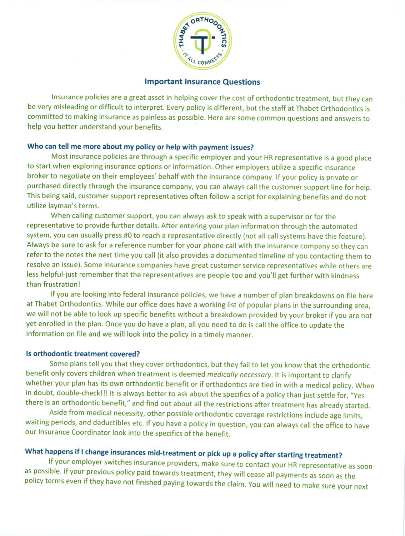

## lmportant lnsurance questions

Insurance policies are a great asset in helping cover the cost of orthodontic treatment, but they can be very misleading or difficult to interpret. Every policy is different, but the staff at Thabet Orthodontics is committed to making insurance as painless as possible. Here are some common questions and answers to help you better understand your benefits.

# Who can tell me more about my policy or help with payment issues?

Most insurance policies are through a specific employer and your HR representative is a good place to start when exploring insurance options or information. Other employers utilize a specific insurance broker to negotiate on their employees' behalf with the insurance company. lf your policy is private or purchased directly through the insurance company, you can always call the customer support line for help. This being said, customer support representatives often follow a script for explaining benefits and do not utilize layman's terms.

When calling customer support, you can always ask to speak with a supervisor or for the representative to provide further details. After entering your plan information through the automated system, you can usually press #0 to reach a representative directly (not all call systems have this feature). Always be sure to ask for a reference number for your phone call with the insurance company so they can refer to the notes the next time you call (it also provides a documented timeline of you contacting them to resolve an issue). Some insurance companies have great customer service representatives while others are less helpful-just remember that the representatives are people too and you'll get further with kindness than frustration!

lf you are looking into federal insurance policies, we have a number of plan breakdowns on file here at Thabet Orthodontics. While our office does have a working list of popular plans in the surrounding area, we will not be able to look up specific benefits without a breakdown provided by your broker if you are not yet enrolled in the plan. Once you do have a plan, all you need to do is call the office to update the information on file and we will look into the policy in a timely manner.

# ls orthodontic treatment covered?

Some plans tell you that they cover orthodontics, but they fail to let you know that the orthodontic benefit only covers children when treatment is deemed medically necessary. It is important to clarify whether your plan has its own orthodontic benefit or if orthodontics are tied in with a medical policy. When in doubt, double-check!!! It is always better to ask about the specifics of a policy than just settle for, "Yes there is an orthodontic benefit," and find out about all the restrictions after treatment has already started.

Aside from medical necessity, other possible orthodontic coverage restrictions include age limits, waiting periods, and deductibles etc. lf you have a policy in question, you can always call the office to have our lnsurance Coordinator look into the specifics of the benefit.

# What happens if I change insurances mid-treatment or pick up a policy after starting treatment?

lf your employer switches insurance providers, make sure to contact your HR representative as soon policy terms even if they have not finished paying towards the claim. You will need to make sure your next